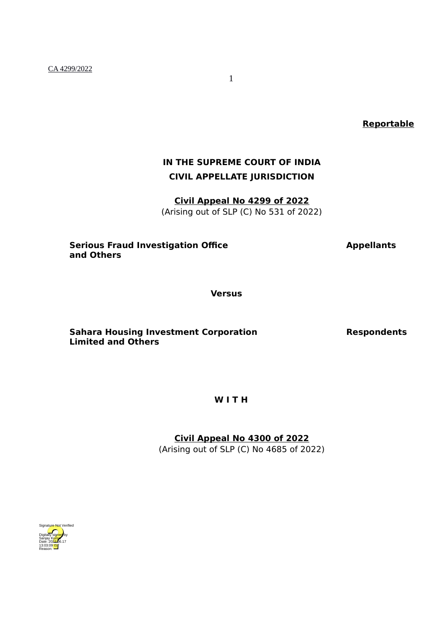CA 4299/2022

**Reportable**

# **IN THE SUPREME COURT OF INDIA CIVIL APPELLATE JURISDICTION**

**Civil Appeal No 4299 of 2022** (Arising out of SLP (C) No 531 of 2022)

### **Serious Fraud Investigation Office <b>Appellants and Others**

**Versus**

**Sahara Housing Investment Corporation Respondents Limited and Others**

**W I T H**

**Civil Appeal No 4300 of 2022**

(Arising out of SLP (C) No 4685 of 2022)

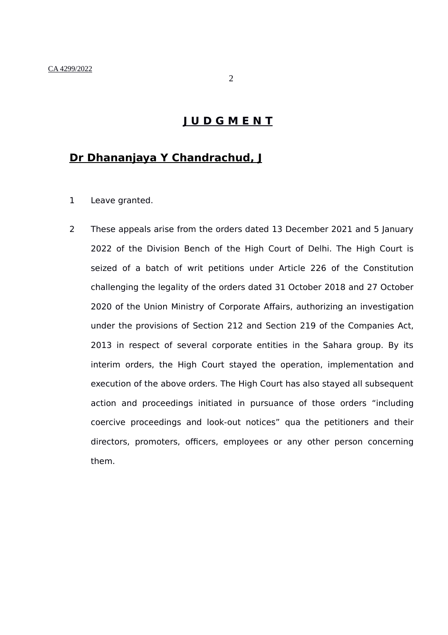## **Dr Dhananjaya Y Chandrachud, J**

- 1 Leave granted.
- 2 These appeals arise from the orders dated 13 December 2021 and 5 January 2022 of the Division Bench of the High Court of Delhi. The High Court is seized of a batch of writ petitions under Article 226 of the Constitution challenging the legality of the orders dated 31 October 2018 and 27 October 2020 of the Union Ministry of Corporate Affairs, authorizing an investigation under the provisions of Section 212 and Section 219 of the Companies Act, 2013 in respect of several corporate entities in the Sahara group. By its interim orders, the High Court stayed the operation, implementation and execution of the above orders. The High Court has also stayed all subsequent action and proceedings initiated in pursuance of those orders "including coercive proceedings and look-out notices" qua the petitioners and their directors, promoters, officers, employees or any other person concerning them.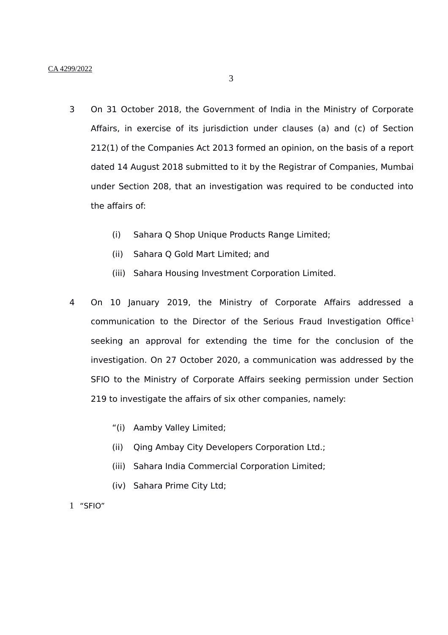- 3 On 31 October 2018, the Government of India in the Ministry of Corporate Affairs, in exercise of its jurisdiction under clauses (a) and (c) of Section 212(1) of the Companies Act 2013 formed an opinion, on the basis of a report dated 14 August 2018 submitted to it by the Registrar of Companies, Mumbai under Section 208, that an investigation was required to be conducted into the affairs of:
	- (i) Sahara Q Shop Unique Products Range Limited;
	- (ii) Sahara Q Gold Mart Limited; and
	- (iii) Sahara Housing Investment Corporation Limited.
- 4 On 10 January 2019, the Ministry of Corporate Affairs addressed a communication to the Director of the Serious Fraud Investigation Office<sup>[1](#page-2-0)</sup> seeking an approval for extending the time for the conclusion of the investigation. On 27 October 2020, a communication was addressed by the SFIO to the Ministry of Corporate Affairs seeking permission under Section 219 to investigate the affairs of six other companies, namely:
	- "(i) Aamby Valley Limited;
	- (ii) Qing Ambay City Developers Corporation Ltd.;
	- (iii) Sahara India Commercial Corporation Limited;
	- (iv) Sahara Prime City Ltd;
- <span id="page-2-0"></span>1 "SFIO"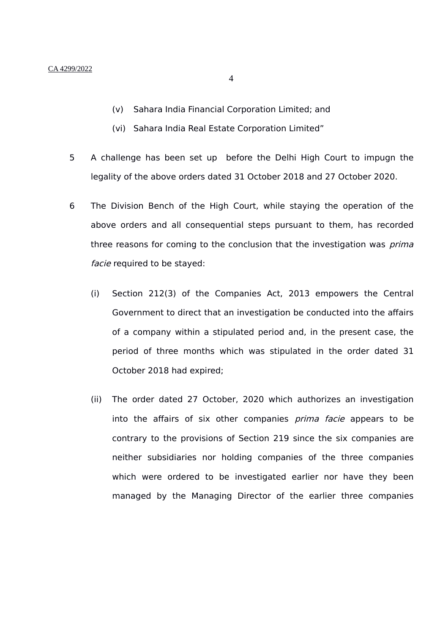- (v) Sahara India Financial Corporation Limited; and
- (vi) Sahara India Real Estate Corporation Limited"
- 5 A challenge has been set up before the Delhi High Court to impugn the legality of the above orders dated 31 October 2018 and 27 October 2020.
- 6 The Division Bench of the High Court, while staying the operation of the above orders and all consequential steps pursuant to them, has recorded three reasons for coming to the conclusion that the investigation was *prima* facie required to be stayed:
	- (i) Section 212(3) of the Companies Act, 2013 empowers the Central Government to direct that an investigation be conducted into the affairs of a company within a stipulated period and, in the present case, the period of three months which was stipulated in the order dated 31 October 2018 had expired;
	- (ii) The order dated 27 October, 2020 which authorizes an investigation into the affairs of six other companies *prima facie* appears to be contrary to the provisions of Section 219 since the six companies are neither subsidiaries nor holding companies of the three companies which were ordered to be investigated earlier nor have they been managed by the Managing Director of the earlier three companies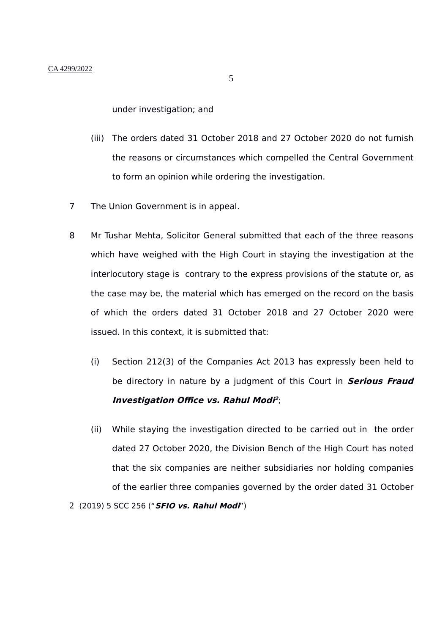under investigation; and

- (iii) The orders dated 31 October 2018 and 27 October 2020 do not furnish the reasons or circumstances which compelled the Central Government to form an opinion while ordering the investigation.
- 7 The Union Government is in appeal.
- 8 Mr Tushar Mehta, Solicitor General submitted that each of the three reasons which have weighed with the High Court in staying the investigation at the interlocutory stage is contrary to the express provisions of the statute or, as the case may be, the material which has emerged on the record on the basis of which the orders dated 31 October 2018 and 27 October 2020 were issued. In this context, it is submitted that:
	- (i) Section 212(3) of the Companies Act 2013 has expressly been held to be directory in nature by a judgment of this Court in **Serious Fraud Investigation Office vs. Rahul Mod[i](#page-4-0) 2** ;
	- (ii) While staying the investigation directed to be carried out in the order dated 27 October 2020, the Division Bench of the High Court has noted that the six companies are neither subsidiaries nor holding companies of the earlier three companies governed by the order dated 31 October

<span id="page-4-0"></span><sup>2</sup> (2019) 5 SCC 256 ("**SFIO vs. Rahul Modi**")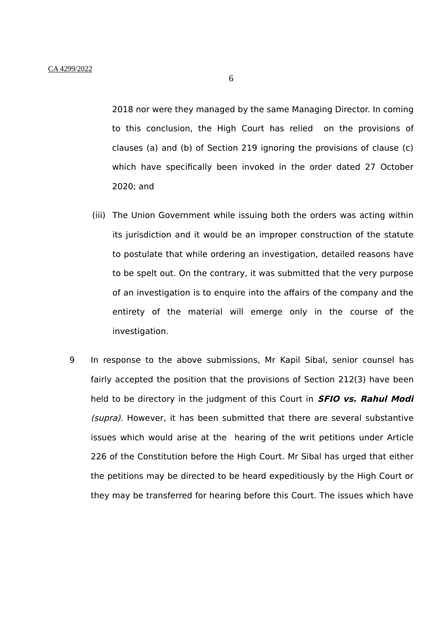2018 nor were they managed by the same Managing Director. In coming to this conclusion, the High Court has relied on the provisions of clauses (a) and (b) of Section 219 ignoring the provisions of clause (c) which have specifically been invoked in the order dated 27 October 2020; and

- (iii) The Union Government while issuing both the orders was acting within its jurisdiction and it would be an improper construction of the statute to postulate that while ordering an investigation, detailed reasons have to be spelt out. On the contrary, it was submitted that the very purpose of an investigation is to enquire into the affairs of the company and the entirety of the material will emerge only in the course of the investigation.
- 9 In response to the above submissions, Mr Kapil Sibal, senior counsel has fairly accepted the position that the provisions of Section 212(3) have been held to be directory in the judgment of this Court in **SFIO vs. Rahul Modi** (supra). However, it has been submitted that there are several substantive issues which would arise at the hearing of the writ petitions under Article 226 of the Constitution before the High Court. Mr Sibal has urged that either the petitions may be directed to be heard expeditiously by the High Court or they may be transferred for hearing before this Court. The issues which have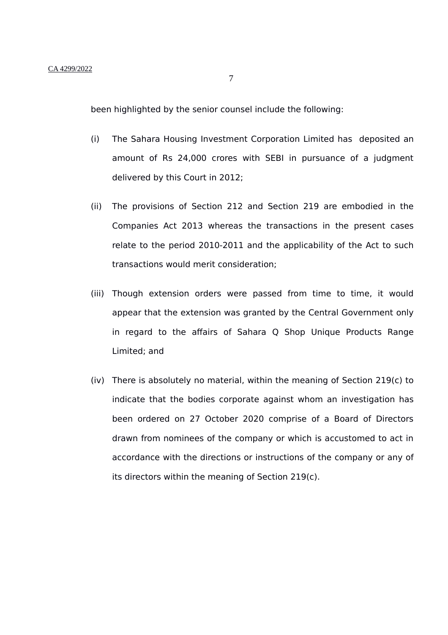7

been highlighted by the senior counsel include the following:

- (i) The Sahara Housing Investment Corporation Limited has deposited an amount of Rs 24,000 crores with SEBI in pursuance of a judgment delivered by this Court in 2012;
- (ii) The provisions of Section 212 and Section 219 are embodied in the Companies Act 2013 whereas the transactions in the present cases relate to the period 2010-2011 and the applicability of the Act to such transactions would merit consideration;
- (iii) Though extension orders were passed from time to time, it would appear that the extension was granted by the Central Government only in regard to the affairs of Sahara Q Shop Unique Products Range Limited; and
- (iv) There is absolutely no material, within the meaning of Section 219(c) to indicate that the bodies corporate against whom an investigation has been ordered on 27 October 2020 comprise of a Board of Directors drawn from nominees of the company or which is accustomed to act in accordance with the directions or instructions of the company or any of its directors within the meaning of Section 219(c).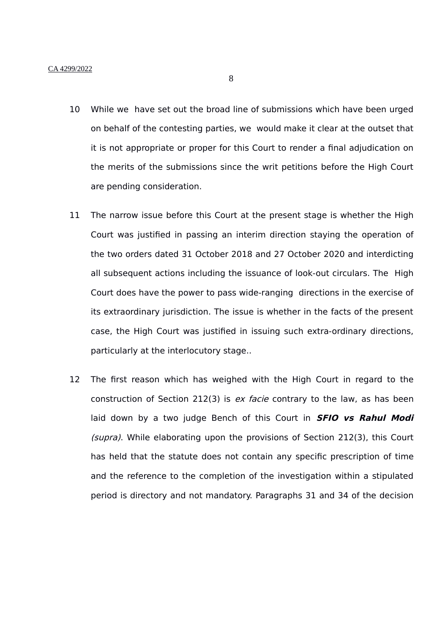- 10 While we have set out the broad line of submissions which have been urged on behalf of the contesting parties, we would make it clear at the outset that it is not appropriate or proper for this Court to render a final adjudication on the merits of the submissions since the writ petitions before the High Court are pending consideration.
- 11 The narrow issue before this Court at the present stage is whether the High Court was justified in passing an interim direction staying the operation of the two orders dated 31 October 2018 and 27 October 2020 and interdicting all subsequent actions including the issuance of look-out circulars. The High Court does have the power to pass wide-ranging directions in the exercise of its extraordinary jurisdiction. The issue is whether in the facts of the present case, the High Court was justified in issuing such extra-ordinary directions, particularly at the interlocutory stage..
- 12 The first reason which has weighed with the High Court in regard to the construction of Section 212(3) is  $ex$  facie contrary to the law, as has been laid down by a two judge Bench of this Court in **SFIO vs Rahul Modi** (supra). While elaborating upon the provisions of Section 212(3), this Court has held that the statute does not contain any specific prescription of time and the reference to the completion of the investigation within a stipulated period is directory and not mandatory. Paragraphs 31 and 34 of the decision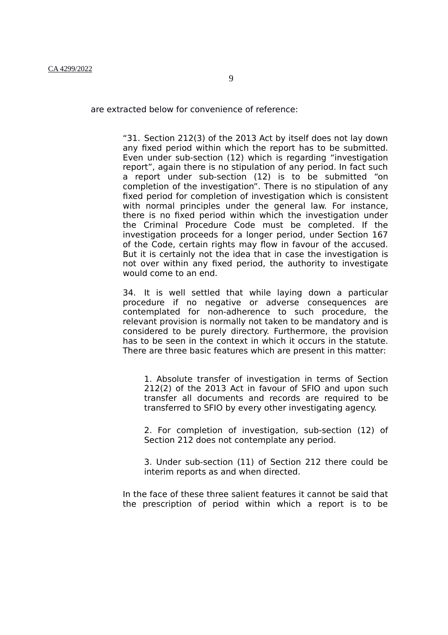are extracted below for convenience of reference:

"31. Section 212(3) of the 2013 Act by itself does not lay down any fixed period within which the report has to be submitted. Even under sub-section (12) which is regarding "investigation report", again there is no stipulation of any period. In fact such a report under sub-section (12) is to be submitted "on completion of the investigation". There is no stipulation of any fixed period for completion of investigation which is consistent with normal principles under the general law. For instance, there is no fixed period within which the investigation under the Criminal Procedure Code must be completed. If the investigation proceeds for a longer period, under Section 167 of the Code, certain rights may flow in favour of the accused. But it is certainly not the idea that in case the investigation is not over within any fixed period, the authority to investigate would come to an end.

34. It is well settled that while laying down a particular procedure if no negative or adverse consequences are contemplated for non-adherence to such procedure, the relevant provision is normally not taken to be mandatory and is considered to be purely directory. Furthermore, the provision has to be seen in the context in which it occurs in the statute. There are three basic features which are present in this matter:

1. Absolute transfer of investigation in terms of Section 212(2) of the 2013 Act in favour of SFIO and upon such transfer all documents and records are required to be transferred to SFIO by every other investigating agency.

2. For completion of investigation, sub-section (12) of Section 212 does not contemplate any period.

3. Under sub-section (11) of Section 212 there could be interim reports as and when directed.

In the face of these three salient features it cannot be said that the prescription of period within which a report is to be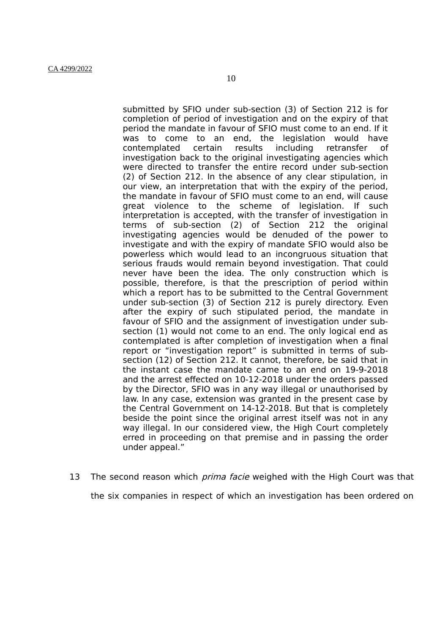submitted by SFIO under sub-section (3) of Section 212 is for completion of period of investigation and on the expiry of that period the mandate in favour of SFIO must come to an end. If it was to come to an end, the legislation would have contemplated certain results including retransfer of investigation back to the original investigating agencies which were directed to transfer the entire record under sub-section

(2) of Section 212. In the absence of any clear stipulation, in our view, an interpretation that with the expiry of the period, the mandate in favour of SFIO must come to an end, will cause great violence to the scheme of legislation. If such interpretation is accepted, with the transfer of investigation in terms of sub-section (2) of Section 212 the original investigating agencies would be denuded of the power to investigate and with the expiry of mandate SFIO would also be powerless which would lead to an incongruous situation that serious frauds would remain beyond investigation. That could never have been the idea. The only construction which is possible, therefore, is that the prescription of period within which a report has to be submitted to the Central Government under sub-section (3) of Section 212 is purely directory. Even after the expiry of such stipulated period, the mandate in favour of SFIO and the assignment of investigation under subsection (1) would not come to an end. The only logical end as contemplated is after completion of investigation when a final report or "investigation report" is submitted in terms of subsection (12) of Section 212. It cannot, therefore, be said that in the instant case the mandate came to an end on 19-9-2018 and the arrest effected on 10-12-2018 under the orders passed by the Director, SFIO was in any way illegal or unauthorised by law. In any case, extension was granted in the present case by the Central Government on 14-12-2018. But that is completely beside the point since the original arrest itself was not in any way illegal. In our considered view, the High Court completely erred in proceeding on that premise and in passing the order under appeal."

13 The second reason which *prima facie* weighed with the High Court was that the six companies in respect of which an investigation has been ordered on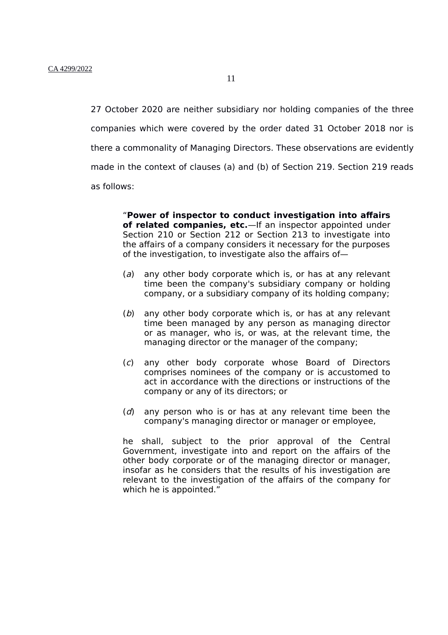27 October 2020 are neither subsidiary nor holding companies of the three companies which were covered by the order dated 31 October 2018 nor is there a commonality of Managing Directors. These observations are evidently made in the context of clauses (a) and (b) of Section 219. Section 219 reads as follows:

> "**Power of inspector to conduct investigation into affairs of related companies, etc.**—If an inspector appointed under Section 210 or Section 212 or Section 213 to investigate into the affairs of a company considers it necessary for the purposes of the investigation, to investigate also the affairs of—

- $(a)$  any other body corporate which is, or has at any relevant time been the company's subsidiary company or holding company, or a subsidiary company of its holding company;
- $(b)$  any other body corporate which is, or has at any relevant time been managed by any person as managing director or as manager, who is, or was, at the relevant time, the managing director or the manager of the company;
- (c) any other body corporate whose Board of Directors comprises nominees of the company or is accustomed to act in accordance with the directions or instructions of the company or any of its directors; or
- $(d)$  any person who is or has at any relevant time been the company's managing director or manager or employee,

he shall, subject to the prior approval of the Central Government, investigate into and report on the affairs of the other body corporate or of the managing director or manager, insofar as he considers that the results of his investigation are relevant to the investigation of the affairs of the company for which he is appointed."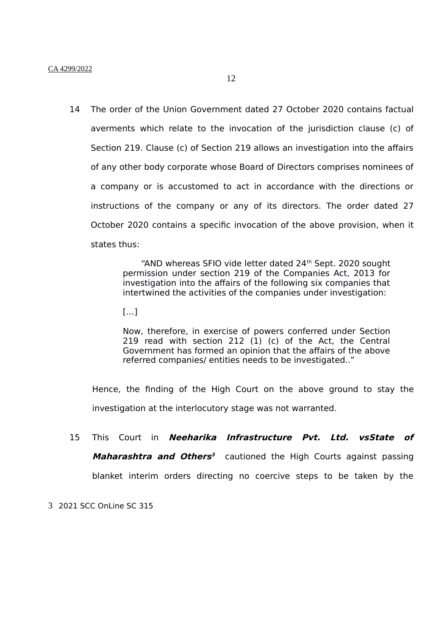14 The order of the Union Government dated 27 October 2020 contains factual averments which relate to the invocation of the jurisdiction clause (c) of Section 219. Clause (c) of Section 219 allows an investigation into the affairs of any other body corporate whose Board of Directors comprises nominees of a company or is accustomed to act in accordance with the directions or instructions of the company or any of its directors. The order dated 27 October 2020 contains a specific invocation of the above provision, when it states thus:

> "AND whereas SFIO vide letter dated 24<sup>th</sup> Sept. 2020 sought permission under section 219 of the Companies Act, 2013 for investigation into the affairs of the following six companies that intertwined the activities of the companies under investigation:

 $[...]$ 

Now, therefore, in exercise of powers conferred under Section 219 read with section 212 (1) (c) of the Act, the Central Government has formed an opinion that the affairs of the above referred companies/ entities needs to be investigated.."

Hence, the finding of the High Court on the above ground to stay the investigation at the interlocutory stage was not warranted.

15 This Court in **Neeharika Infrastructure Pvt. Ltd. vsState of Maharashtra and Others [3](#page-11-0)** cautioned the High Courts against passing blanket interim orders directing no coercive steps to be taken by the

<span id="page-11-0"></span>3 2021 SCC OnLine SC 315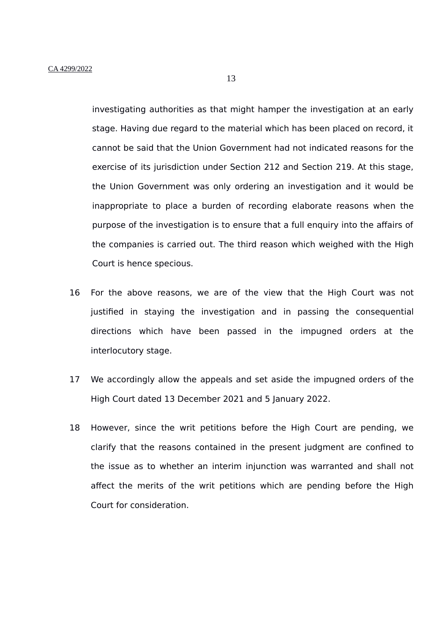investigating authorities as that might hamper the investigation at an early stage. Having due regard to the material which has been placed on record, it cannot be said that the Union Government had not indicated reasons for the exercise of its jurisdiction under Section 212 and Section 219. At this stage, the Union Government was only ordering an investigation and it would be inappropriate to place a burden of recording elaborate reasons when the purpose of the investigation is to ensure that a full enquiry into the affairs of the companies is carried out. The third reason which weighed with the High Court is hence specious.

- 16 For the above reasons, we are of the view that the High Court was not justified in staying the investigation and in passing the consequential directions which have been passed in the impugned orders at the interlocutory stage.
- 17 We accordingly allow the appeals and set aside the impugned orders of the High Court dated 13 December 2021 and 5 January 2022.
- 18 However, since the writ petitions before the High Court are pending, we clarify that the reasons contained in the present judgment are confined to the issue as to whether an interim injunction was warranted and shall not affect the merits of the writ petitions which are pending before the High Court for consideration.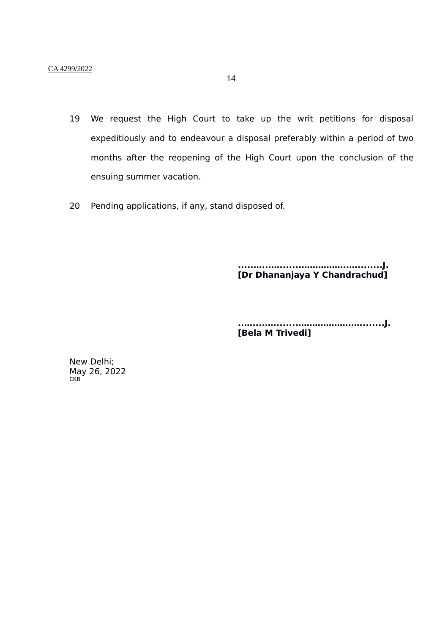- 19 We request the High Court to take up the writ petitions for disposal expeditiously and to endeavour a disposal preferably within a period of two months after the reopening of the High Court upon the conclusion of the ensuing summer vacation.
- 20 Pending applications, if any, stand disposed of.

**.....…...….......……………..…........J. [Dr Dhananjaya Y Chandrachud]**

**..…....…........……………….…........J. [Bela M Trivedi]**

New Delhi; May 26, 2022 **CKB**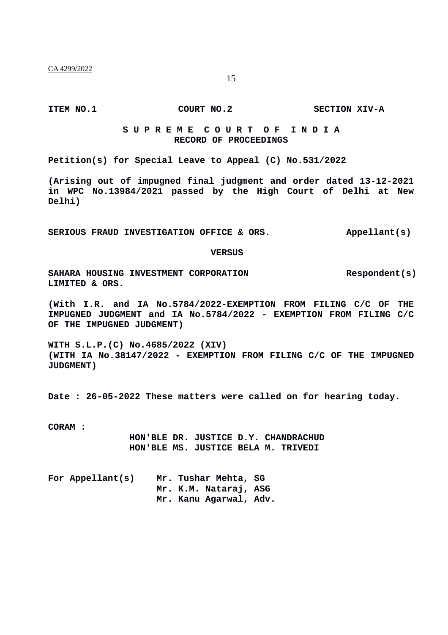## **S U P R E M E C O U R T O F I N D I A RECORD OF PROCEEDINGS**

**Petition(s) for Special Leave to Appeal (C) No.531/2022**

**(Arising out of impugned final judgment and order dated 13-12-2021 in WPC No.13984/2021 passed by the High Court of Delhi at New Delhi)**

SERIOUS FRAUD INVESTIGATION OFFICE & ORS. Appellant(s)

**VERSUS**

SAHARA HOUSING INVESTMENT CORPORATION **RESPONDENT** (S) **LIMITED & ORS.**

**(With I.R. and IA No.5784/2022-EXEMPTION FROM FILING C/C OF THE IMPUGNED JUDGMENT and IA No.5784/2022 - EXEMPTION FROM FILING C/C OF THE IMPUGNED JUDGMENT)**

**WITH S.L.P.(C) No.4685/2022 (XIV) (WITH IA No.38147/2022 - EXEMPTION FROM FILING C/C OF THE IMPUGNED JUDGMENT)**

**Date : 26-05-2022 These matters were called on for hearing today.**

**CORAM :** 

**HON'BLE DR. JUSTICE D.Y. CHANDRACHUD HON'BLE MS. JUSTICE BELA M. TRIVEDI**

| For Appellant(s) |  | Mr. Tushar Mehta, SG   |  |
|------------------|--|------------------------|--|
|                  |  | Mr. K.M. Nataraj, ASG  |  |
|                  |  | Mr. Kanu Aqarwal, Adv. |  |